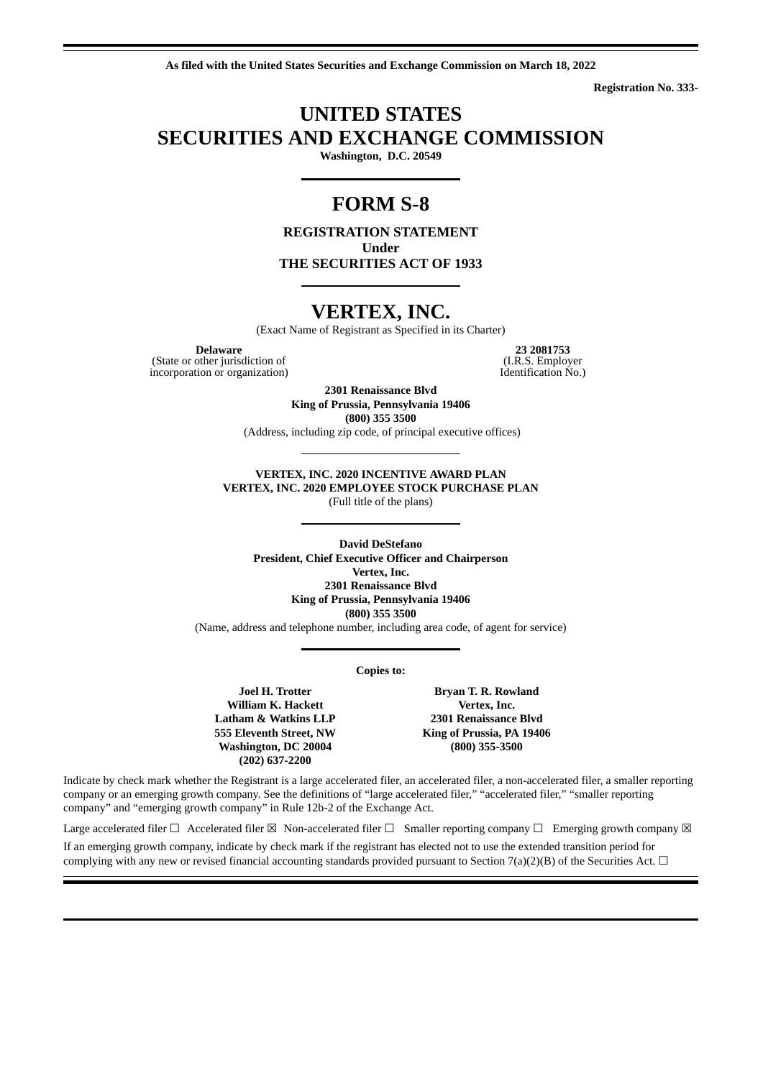**As filed with the United States Securities and Exchange Commission on March 18, 2022**

**Registration No. 333-**

# **UNITED STATES SECURITIES AND EXCHANGE COMMISSION**

**Washington, D.C. 20549**

## **FORM S-8**

**REGISTRATION STATEMENT Under THE SECURITIES ACT OF 1933**

## **VERTEX, INC.**

(Exact Name of Registrant as Specified in its Charter)

(State or other jurisdiction of  $(II, R.S.$  Employer (I.R.S. Employer  $II$ . Theorem incorporation or organization) incorporation or organization)

**Delaware 23 2081753 other jurisdiction of 23 2081753 (I.R.S. Employer** 

**2301 Renaissance Blvd King of Prussia, Pennsylvania 19406**

**(800) 355 3500**

(Address, including zip code, of principal executive offices)

**VERTEX, INC. 2020 INCENTIVE AWARD PLAN VERTEX, INC. 2020 EMPLOYEE STOCK PURCHASE PLAN** (Full title of the plans)

**David DeStefano President, Chief Executive Officer and Chairperson Vertex, Inc. 2301 Renaissance Blvd King of Prussia, Pennsylvania 19406 (800) 355 3500**

(Name, address and telephone number, including area code, of agent for service)

**Copies to:**

**Joel H. Trotter William K. Hackett Latham & Watkins LLP 555 Eleventh Street, NW Washington, DC 20004 (202) 637-2200**

**Bryan T. R. Rowland Vertex, Inc. 2301 Renaissance Blvd King of Prussia, PA 19406 (800) 355-3500**

Indicate by check mark whether the Registrant is a large accelerated filer, an accelerated filer, a non-accelerated filer, a smaller reporting company or an emerging growth company. See the definitions of "large accelerated filer," "accelerated filer," "smaller reporting company" and "emerging growth company" in Rule 12b-2 of the Exchange Act.

Large accelerated filer  $\Box$  Accelerated filer  $\boxtimes$  Non-accelerated filer  $\Box$  Smaller reporting company  $\Box$  Emerging growth company  $\boxtimes$ If an emerging growth company, indicate by check mark if the registrant has elected not to use the extended transition period for complying with any new or revised financial accounting standards provided pursuant to Section 7(a)(2)(B) of the Securities Act.  $\Box$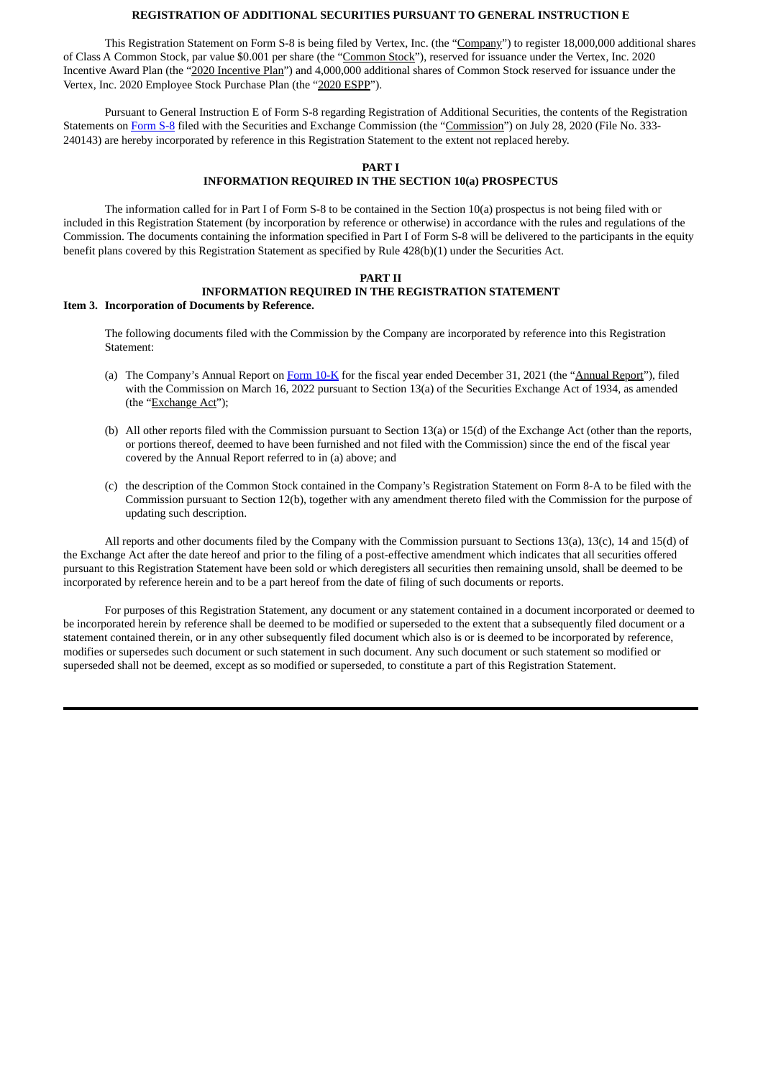### **REGISTRATION OF ADDITIONAL SECURITIES PURSUANT TO GENERAL INSTRUCTION E**

This Registration Statement on Form S-8 is being filed by Vertex, Inc. (the "Company") to register 18,000,000 additional shares of Class A Common Stock, par value \$0.001 per share (the "Common Stock"), reserved for issuance under the Vertex, Inc. 2020 Incentive Award Plan (the "2020 Incentive Plan") and 4,000,000 additional shares of Common Stock reserved for issuance under the Vertex, Inc. 2020 Employee Stock Purchase Plan (the "2020 ESPP").

Pursuant to General Instruction E of Form S-8 regarding Registration of Additional Securities, the contents of the Registration Statements on [Form](https://www.sec.gov/Archives/edgar/data/1806837/000110465920087364/tm2025753-1_s8.htm) S-8 filed with the Securities and Exchange Commission (the "Commission") on July 28, 2020 (File No. 333- 240143) are hereby incorporated by reference in this Registration Statement to the extent not replaced hereby.

### **PART I INFORMATION REQUIRED IN THE SECTION 10(a) PROSPECTUS**

The information called for in Part I of Form S-8 to be contained in the Section 10(a) prospectus is not being filed with or included in this Registration Statement (by incorporation by reference or otherwise) in accordance with the rules and regulations of the Commission. The documents containing the information specified in Part I of Form S-8 will be delivered to the participants in the equity benefit plans covered by this Registration Statement as specified by Rule 428(b)(1) under the Securities Act.

### **PART II INFORMATION REQUIRED IN THE REGISTRATION STATEMENT Item 3. Incorporation of Documents by Reference.**

The following documents filed with the Commission by the Company are incorporated by reference into this Registration Statement:

- (a) The Company's Annual Report on [Form](https://www.sec.gov/ix?doc=/Archives/edgar/data/1806837/000155837022003777/verx-20211231x10k.htm) 10-K for the fiscal year ended December 31, 2021 (the "Annual Report"), filed with the Commission on March 16, 2022 pursuant to Section 13(a) of the Securities Exchange Act of 1934, as amended (the "Exchange Act");
- (b) All other reports filed with the Commission pursuant to Section 13(a) or 15(d) of the Exchange Act (other than the reports, or portions thereof, deemed to have been furnished and not filed with the Commission) since the end of the fiscal year covered by the Annual Report referred to in (a) above; and
- (c) the description of the Common Stock contained in the Company's Registration Statement on Form 8-A to be filed with the Commission pursuant to Section 12(b), together with any amendment thereto filed with the Commission for the purpose of updating such description.

All reports and other documents filed by the Company with the Commission pursuant to Sections 13(a), 13(c), 14 and 15(d) of the Exchange Act after the date hereof and prior to the filing of a post-effective amendment which indicates that all securities offered pursuant to this Registration Statement have been sold or which deregisters all securities then remaining unsold, shall be deemed to be incorporated by reference herein and to be a part hereof from the date of filing of such documents or reports.

For purposes of this Registration Statement, any document or any statement contained in a document incorporated or deemed to be incorporated herein by reference shall be deemed to be modified or superseded to the extent that a subsequently filed document or a statement contained therein, or in any other subsequently filed document which also is or is deemed to be incorporated by reference, modifies or supersedes such document or such statement in such document. Any such document or such statement so modified or superseded shall not be deemed, except as so modified or superseded, to constitute a part of this Registration Statement.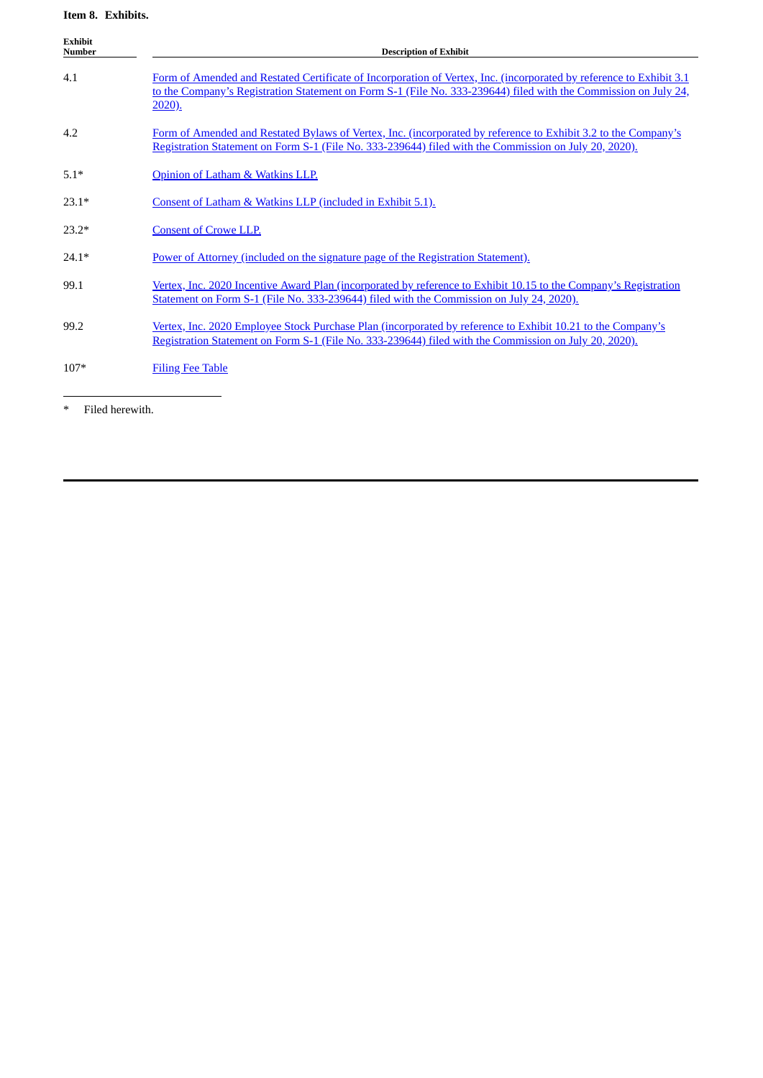### **Item 8. Exhibits.**

| <b>Exhibit</b><br><b>Number</b> | <b>Description of Exhibit</b>                                                                                                                                                                                                                           |  |  |  |  |  |  |  |
|---------------------------------|---------------------------------------------------------------------------------------------------------------------------------------------------------------------------------------------------------------------------------------------------------|--|--|--|--|--|--|--|
| 4.1                             | Form of Amended and Restated Certificate of Incorporation of Vertex, Inc. (incorporated by reference to Exhibit 3.1<br>to the Company's Registration Statement on Form S-1 (File No. 333-239644) filed with the Commission on July 24,<br><u>2020).</u> |  |  |  |  |  |  |  |
| 4.2                             | Form of Amended and Restated Bylaws of Vertex, Inc. (incorporated by reference to Exhibit 3.2 to the Company's<br>Registration Statement on Form S-1 (File No. 333-239644) filed with the Commission on July 20, 2020).                                 |  |  |  |  |  |  |  |
| $5.1*$                          | Opinion of Latham & Watkins LLP.                                                                                                                                                                                                                        |  |  |  |  |  |  |  |
| $23.1*$                         | Consent of Latham & Watkins LLP (included in Exhibit 5.1).                                                                                                                                                                                              |  |  |  |  |  |  |  |
| $23.2*$                         | <b>Consent of Crowe LLP.</b>                                                                                                                                                                                                                            |  |  |  |  |  |  |  |
| $24.1*$                         | Power of Attorney (included on the signature page of the Registration Statement).                                                                                                                                                                       |  |  |  |  |  |  |  |
| 99.1                            | Vertex, Inc. 2020 Incentive Award Plan (incorporated by reference to Exhibit 10.15 to the Company's Registration<br>Statement on Form S-1 (File No. 333-239644) filed with the Commission on July 24, 2020).                                            |  |  |  |  |  |  |  |
| 99.2                            | Vertex, Inc. 2020 Employee Stock Purchase Plan (incorporated by reference to Exhibit 10.21 to the Company's<br>Registration Statement on Form S-1 (File No. 333-239644) filed with the Commission on July 20, 2020).                                    |  |  |  |  |  |  |  |
| $107*$                          | <b>Filing Fee Table</b>                                                                                                                                                                                                                                 |  |  |  |  |  |  |  |

\* Filed herewith.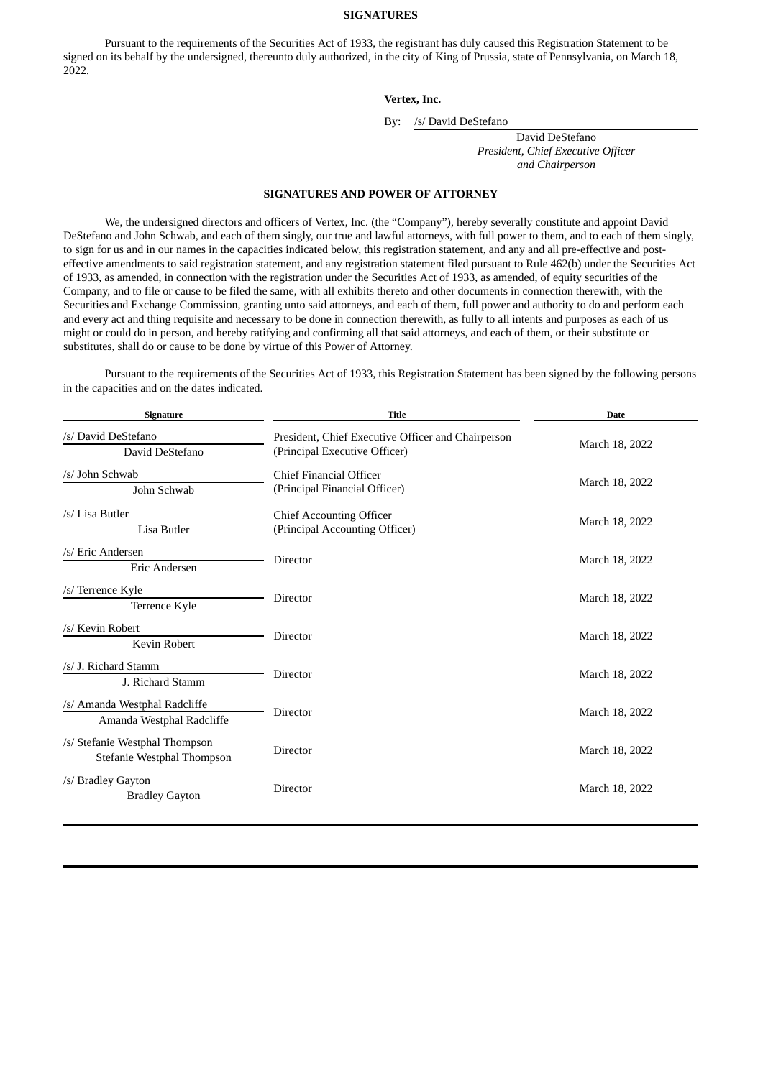### **SIGNATURES**

Pursuant to the requirements of the Securities Act of 1933, the registrant has duly caused this Registration Statement to be signed on its behalf by the undersigned, thereunto duly authorized, in the city of King of Prussia, state of Pennsylvania, on March 18, 2022.

### **Vertex, Inc.**

By: /s/ David DeStefano

<span id="page-3-0"></span>David DeStefano *President, Chief Executive Officer and Chairperson*

### **SIGNATURES AND POWER OF ATTORNEY**

We, the undersigned directors and officers of Vertex, Inc. (the "Company"), hereby severally constitute and appoint David DeStefano and John Schwab, and each of them singly, our true and lawful attorneys, with full power to them, and to each of them singly, to sign for us and in our names in the capacities indicated below, this registration statement, and any and all pre-effective and posteffective amendments to said registration statement, and any registration statement filed pursuant to Rule 462(b) under the Securities Act of 1933, as amended, in connection with the registration under the Securities Act of 1933, as amended, of equity securities of the Company, and to file or cause to be filed the same, with all exhibits thereto and other documents in connection therewith, with the Securities and Exchange Commission, granting unto said attorneys, and each of them, full power and authority to do and perform each and every act and thing requisite and necessary to be done in connection therewith, as fully to all intents and purposes as each of us might or could do in person, and hereby ratifying and confirming all that said attorneys, and each of them, or their substitute or substitutes, shall do or cause to be done by virtue of this Power of Attorney.

Pursuant to the requirements of the Securities Act of 1933, this Registration Statement has been signed by the following persons in the capacities and on the dates indicated.

| Signature                                                    | <b>Title</b>                                                                        | <b>Date</b>    |  |  |  |
|--------------------------------------------------------------|-------------------------------------------------------------------------------------|----------------|--|--|--|
| /s/ David DeStefano<br>David DeStefano                       | President, Chief Executive Officer and Chairperson<br>(Principal Executive Officer) | March 18, 2022 |  |  |  |
| /s/ John Schwab<br>John Schwab                               | <b>Chief Financial Officer</b><br>(Principal Financial Officer)                     | March 18, 2022 |  |  |  |
| /s/ Lisa Butler<br>Lisa Butler                               | <b>Chief Accounting Officer</b><br>(Principal Accounting Officer)                   | March 18, 2022 |  |  |  |
| /s/ Eric Andersen<br>Eric Andersen                           | Director                                                                            | March 18, 2022 |  |  |  |
| /s/ Terrence Kyle<br>Terrence Kyle                           | Director                                                                            | March 18, 2022 |  |  |  |
| /s/ Kevin Robert<br><b>Kevin Robert</b>                      | Director                                                                            | March 18, 2022 |  |  |  |
| /s/ J. Richard Stamm<br>J. Richard Stamm                     | Director                                                                            | March 18, 2022 |  |  |  |
| /s/ Amanda Westphal Radcliffe<br>Amanda Westphal Radcliffe   | Director                                                                            | March 18, 2022 |  |  |  |
| /s/ Stefanie Westphal Thompson<br>Stefanie Westphal Thompson | Director                                                                            | March 18, 2022 |  |  |  |
| /s/ Bradley Gayton<br><b>Bradley Gayton</b>                  | Director                                                                            | March 18, 2022 |  |  |  |
|                                                              |                                                                                     |                |  |  |  |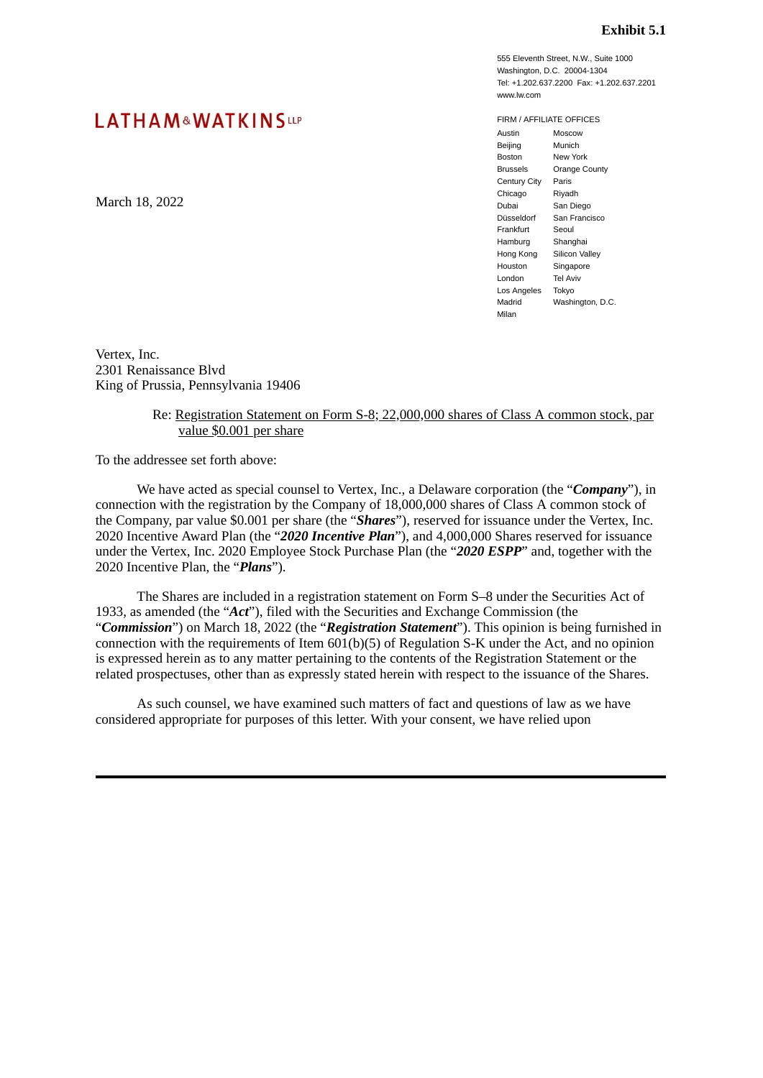555 Eleventh Street, N.W., Suite 1000 Washington, D.C. 20004-1304 Tel: +1.202.637.2200 Fax: +1.202.637.2201 www.lw.com

## <span id="page-4-0"></span>LATHAM&WATKINSLLP

March 18, 2022

FIRM / AFFILIATE OFFICES Austin Beijing Boston Brussels Century City Paris Chicago Dubai Düsseldorf Frankfurt Hamburg Hong Kong Silicon Valley Houston London Los Angeles Tokyo Madrid Milan Moscow Munich New York Orange County Riyadh San Diego San Francisco Seoul Shanghai Singapore Tel Aviv Washington, D.C.

Vertex, Inc. 2301 Renaissance Blvd King of Prussia, Pennsylvania 19406

### Re: Registration Statement on Form S-8; 22,000,000 shares of Class A common stock, par value \$0.001 per share

To the addressee set forth above:

We have acted as special counsel to Vertex, Inc., a Delaware corporation (the "*Company*"), in connection with the registration by the Company of 18,000,000 shares of Class A common stock of the Company, par value \$0.001 per share (the "*Shares*"), reserved for issuance under the Vertex, Inc. 2020 Incentive Award Plan (the "*2020 Incentive Plan*"), and 4,000,000 Shares reserved for issuance under the Vertex, Inc. 2020 Employee Stock Purchase Plan (the "*2020 ESPP*" and, together with the 2020 Incentive Plan, the "*Plans*").

The Shares are included in a registration statement on Form S–8 under the Securities Act of 1933, as amended (the "*Act*"), filed with the Securities and Exchange Commission (the "*Commission*") on March 18, 2022 (the "*Registration Statement*"). This opinion is being furnished in connection with the requirements of Item 601(b)(5) of Regulation S-K under the Act, and no opinion is expressed herein as to any matter pertaining to the contents of the Registration Statement or the related prospectuses, other than as expressly stated herein with respect to the issuance of the Shares.

As such counsel, we have examined such matters of fact and questions of law as we have considered appropriate for purposes of this letter. With your consent, we have relied upon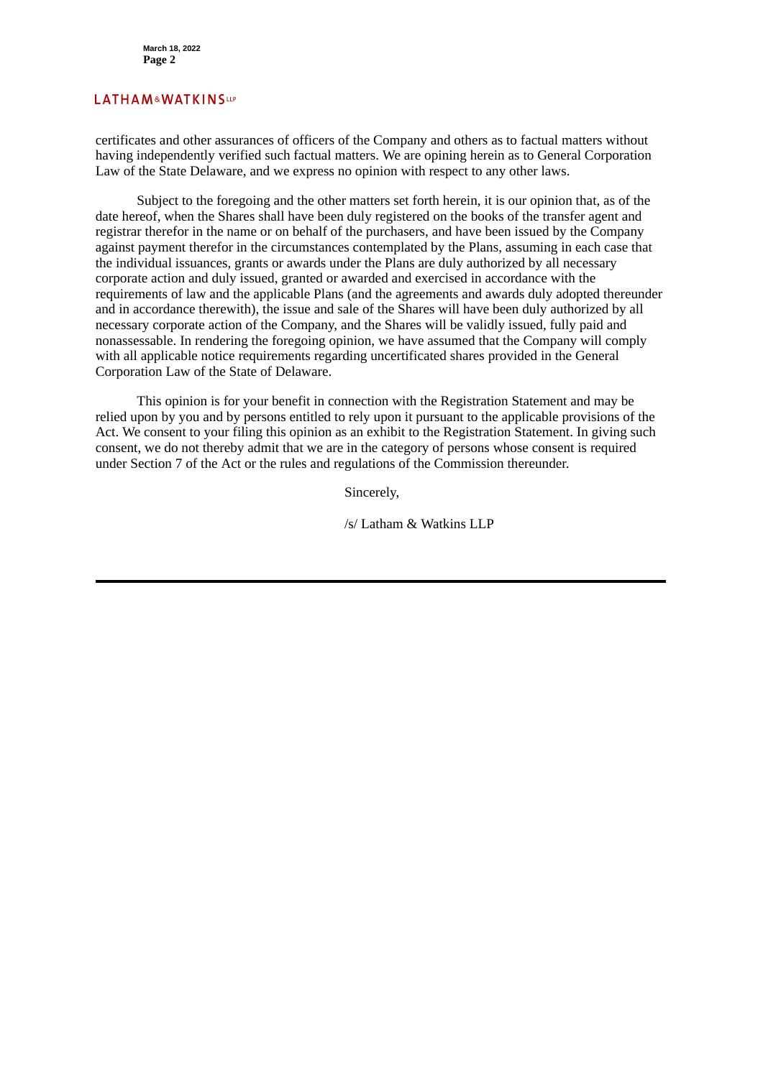### **LATHAM&WATKINSLLP**

certificates and other assurances of officers of the Company and others as to factual matters without having independently verified such factual matters. We are opining herein as to General Corporation Law of the State Delaware, and we express no opinion with respect to any other laws.

Subject to the foregoing and the other matters set forth herein, it is our opinion that, as of the date hereof, when the Shares shall have been duly registered on the books of the transfer agent and registrar therefor in the name or on behalf of the purchasers, and have been issued by the Company against payment therefor in the circumstances contemplated by the Plans, assuming in each case that the individual issuances, grants or awards under the Plans are duly authorized by all necessary corporate action and duly issued, granted or awarded and exercised in accordance with the requirements of law and the applicable Plans (and the agreements and awards duly adopted thereunder and in accordance therewith), the issue and sale of the Shares will have been duly authorized by all necessary corporate action of the Company, and the Shares will be validly issued, fully paid and nonassessable. In rendering the foregoing opinion, we have assumed that the Company will comply with all applicable notice requirements regarding uncertificated shares provided in the General Corporation Law of the State of Delaware.

This opinion is for your benefit in connection with the Registration Statement and may be relied upon by you and by persons entitled to rely upon it pursuant to the applicable provisions of the Act. We consent to your filing this opinion as an exhibit to the Registration Statement. In giving such consent, we do not thereby admit that we are in the category of persons whose consent is required under Section 7 of the Act or the rules and regulations of the Commission thereunder.

Sincerely,

/s/ Latham & Watkins LLP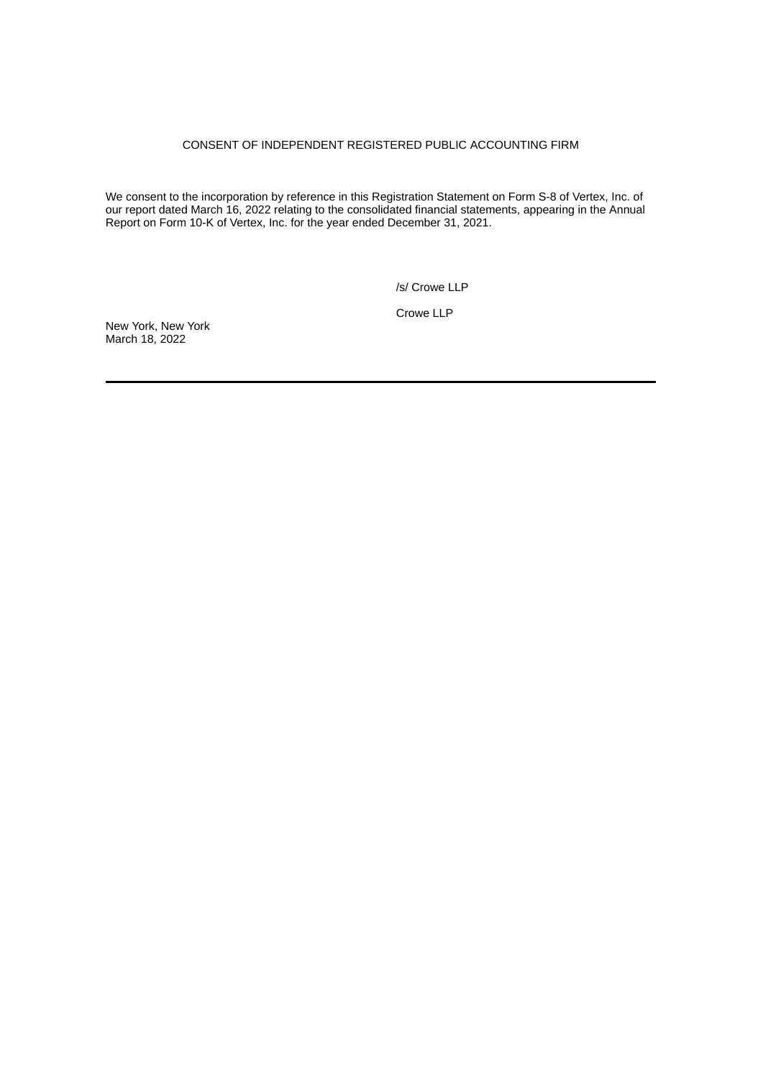### CONSENT OF INDEPENDENT REGISTERED PUBLIC ACCOUNTING FIRM

<span id="page-6-0"></span>We consent to the incorporation by reference in this Registration Statement on Form S-8 of Vertex, Inc. of our report dated March 16, 2022 relating to the consolidated financial statements, appearing in the Annual Report on Form 10-K of Vertex, Inc. for the year ended December 31, 2021.

/s/ Crowe LLP

Crowe LLP

New York, New York March 18, 2022